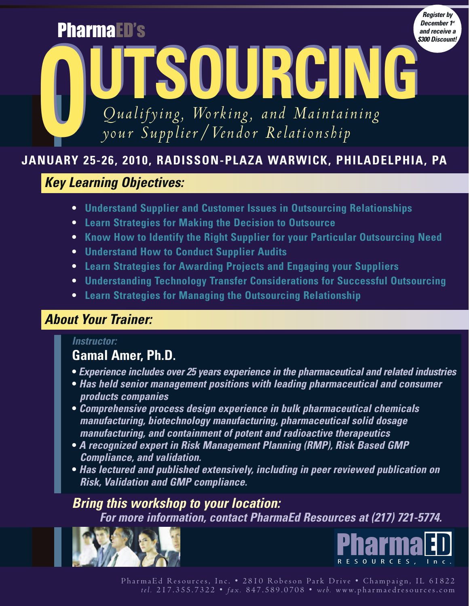*December 1st and receive a \$300 Discount!*

*Register by*

*Qualifying, Working, and Maintaining your Supplier/Vendor Relationship*

**OUTSOURCING OUTSOURCING**

# **JANUARY 25-26, 2010, RADISSON-PLAZA WARWICK, PHILADELPHIA, PA**

# *Key Learning Objectives:*

PharmaED's

- **• Understand Supplier and Customer Issues in Outsourcing Relationships**
- **• Learn Strategies for Making the Decision to Outsource**
- **• Know How to Identify the Right Supplier for your Particular Outsourcing Need**
- **• Understand How to Conduct Supplier Audits**
- **• Learn Strategies for Awarding Projects and Engaging your Suppliers**
- **• Understanding Technology Transfer Considerations for Successful Outsourcing**
- **• Learn Strategies for Managing the Outsourcing Relationship**

# *About Your Trainer:*

# *Instructor:*

# **Gamal Amer, Ph.D.**

- **•** *Experience includes over 25 years experience in the pharmaceutical and related industries*
- **•** *Has held senior management positions with leading pharmaceutical and consumer products companies*
- **•** *Comprehensive process design experience in bulk pharmaceutical chemicals manufacturing, biotechnology manufacturing, pharmaceutical solid dosage manufacturing, and containment of potent and radioactive therapeutics*
- **•** *A recognized expert in Risk Management Planning (RMP), Risk Based GMP Compliance, and validation.*
- **•** *Has lectured and published extensively, including in peer reviewed publication on Risk, Validation and GMP compliance.*

# *Bring this workshop to your location: For more information, contact PharmaEd Resources at (217) 721-5774.*



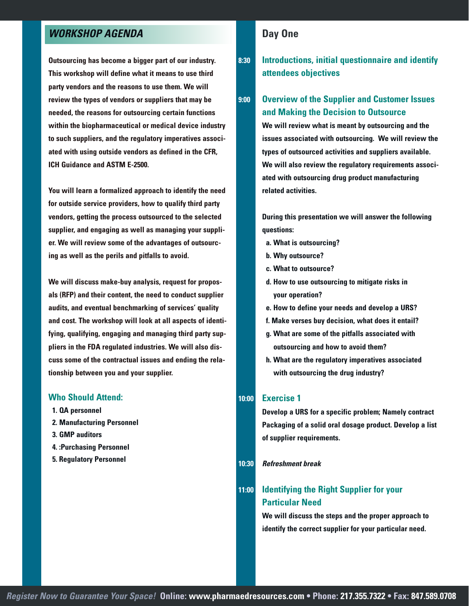## *WORKSHOP AGENDA*

**Outsourcing has become a bigger part of our industry. This workshop will define what it means to use third party vendors and the reasons to use them. We will review the types of vendors or suppliers that may be needed, the reasons for outsourcing certain functions within the biopharmaceutical or medical device industry to such suppliers, and the regulatory imperatives associated with using outside vendors as defined in the CFR, ICH Guidance and ASTM E-2500.**

**You will learn a formalized approach to identify the need for outside service providers, how to qualify third party vendors, getting the process outsourced to the selected supplier, and engaging as well as managing your supplier. We will review some of the advantages of outsourcing as well as the perils and pitfalls to avoid.**

**We will discuss make-buy analysis, request for proposals (RFP) and their content, the need to conduct supplier audits, and eventual benchmarking of services' quality and cost. The workshop will look at all aspects of identifying, qualifying, engaging and managing third party suppliers in the FDA regulated industries. We will also discuss some of the contractual issues and ending the relationship between you and your supplier.**

#### **Who Should Attend:**

- **1. QA personnel**
- **2. Manufacturing Personnel**
- **3. GMP auditors**
- **4. :Purchasing Personnel**
- **5. Regulatory Personnel**

### **Day One**

**8:30 Introductions, initial questionnaire and identify attendees objectives**

### **9:00 Overview of the Supplier and Customer Issues and Making the Decision to Outsource**

**We will review what is meant by outsourcing and the issues associated with outsourcing. We will review the types of outsourced activities and suppliers available. We will also review the regulatory requirements associated with outsourcing drug product manufacturing related activities.**

**During this presentation we will answer the following questions:**

- **a. What is outsourcing?**
- **b. Why outsource?**
- **c. What to outsource?**
- **d. How to use outsourcing to mitigate risks in your operation?**
- **e. How to define your needs and develop a URS?**
- **f. Make verses buy decision, what does it entail?**
- **g. What are some of the pitfalls associated with outsourcing and how to avoid them?**
- **h. What are the regulatory imperatives associated with outsourcing the drug industry?**

#### **10:00 Exercise 1**

**Develop a URS for a specific problem; Namely contract Packaging of a solid oral dosage product. Develop a list of supplier requirements.**

#### **10:30** *Refreshment break*

## **11:00 Identifying the Right Supplier for your Particular Need**

**We will discuss the steps and the proper approach to identify the correct supplier for your particular need.**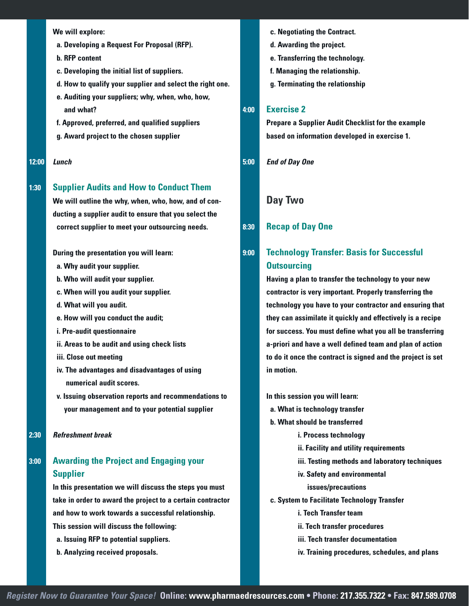**We will explore:**

- **a. Developing a Request For Proposal (RFP).**
- **b. RFP content**
- **c. Developing the initial list of suppliers.**
- **d. How to qualify your supplier and select the right one.**
- **e. Auditing your suppliers; why, when, who, how, and what?**
- **f. Approved, preferred, and qualified suppliers**
- **g. Award project to the chosen supplier**
- **12:00** *Lunch*

#### **1:30 Supplier Audits and How to Conduct Them**

**We will outline the why, when, who, how, and of conducting a supplier audit to ensure that you select the correct supplier to meet your outsourcing needs.**

**During the presentation you will learn:**

- **a. Why audit your supplier.**
- **b. Who will audit your supplier.**
- **c. When will you audit your supplier.**
- **d. What will you audit.**
- **e. How will you conduct the audit;**
- **i. Pre-audit questionnaire**
- **ii. Areas to be audit and using check lists**
- **iii. Close out meeting**
- **iv. The advantages and disadvantages of using numerical audit scores.**
- **v. Issuing observation reports and recommendations to your management and to your potential supplier**
- **2:30** *Refreshment break*

## **3:00 Awarding the Project and Engaging your Supplier**

**In this presentation we will discuss the steps you must take in order to award the project to a certain contractor and how to work towards a successful relationship. This session will discuss the following: a. Issuing RFP to potential suppliers.**

**b. Analyzing received proposals.**

- **c. Negotiating the Contract.**
- **d. Awarding the project.**
- **e. Transferring the technology.**
- **f. Managing the relationship.**
- **g. Terminating the relationship**

#### **4:00 Exercise 2**

**Prepare a Supplier Audit Checklist for the example based on information developed in exercise 1.**

**5:00** *End of Day One*

#### **Day Two**

#### **8:30 Recap of Day One**

## **9:00 Technology Transfer: Basis for Successful Outsourcing**

**Having a plan to transfer the technology to your new contractor is very important. Properly transferring the technology you have to your contractor and ensuring that they can assimilate it quickly and effectively is a recipe for success. You must define what you all be transferring a-priori and have a well defined team and plan of action to do it once the contract is signed and the project is set in motion.**

**In this session you will learn:**

- **a. What is technology transfer**
- **b. What should be transferred**
	- **i. Process technology**
	- **ii. Facility and utility requirements**
	- **iii. Testing methods and laboratory techniques**
	- **iv. Safety and environmental**

#### **issues/precautions**

- **c. System to Facilitate Technology Transfer**
	- **i. Tech Transfer team**
	- **ii. Tech transfer procedures**
	- **iii. Tech transfer documentation**
	- **iv. Training procedures, schedules, and plans**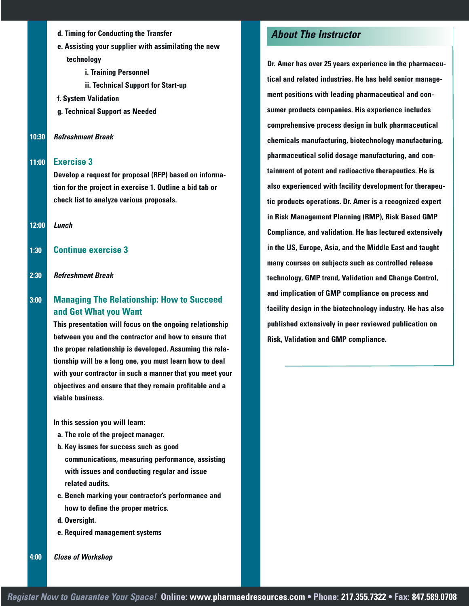- **d. Timing for Conducting the Transfer**
- **e. Assisting your supplier with assimilating the new technology**
	- **i. Training Personnel**
	- **ii. Technical Support for Start-up**
- **f. System Validation**
- **g. Technical Support as Needed**
- **10:30** *Refreshment Break*

#### **11:00 Exercise 3**

**Develop a request for proposal (RFP) based on information for the project in exercise 1. Outline a bid tab or check list to analyze various proposals.**

**12:00** *Lunch*

- **1:30 Continue exercise 3**
- **2:30** *Refreshment Break*

### **3:00 Managing The Relationship: How to Succeed and Get What you Want**

**This presentation will focus on the ongoing relationship between you and the contractor and how to ensure that the proper relationship is developed. Assuming the relationship will be a long one, you must learn how to deal with your contractor in such a manner that you meet your objectives and ensure that they remain profitable and a viable business.**

**In this session you will learn:**

- **a. The role of the project manager.**
- **b. Key issues for success such as good communications, measuring performance, assisting with issues and conducting regular and issue related audits.**
- **c. Bench marking your contractor's performance and how to define the proper metrics.**
- **d. Oversight.**
- **e. Required management systems**

**4:00** *Close of Workshop*

## *About The Instructor*

**Dr. Amer has over 25 years experience in the pharmaceutical and related industries. He has held senior management positions with leading pharmaceutical and consumer products companies. His experience includes comprehensive process design in bulk pharmaceutical chemicals manufacturing, biotechnology manufacturing, pharmaceutical solid dosage manufacturing, and containment of potent and radioactive therapeutics. He is also experienced with facility development for therapeutic products operations. Dr. Amer is a recognized expert in Risk Management Planning (RMP), Risk Based GMP Compliance, and validation. He has lectured extensively in the US, Europe, Asia, and the Middle East and taught many courses on subjects such as controlled release technology, GMP trend, Validation and Change Control, and implication of GMP compliance on process and facility design in the biotechnology industry. He has also published extensively in peer reviewed publication on Risk, Validation and GMP compliance.**